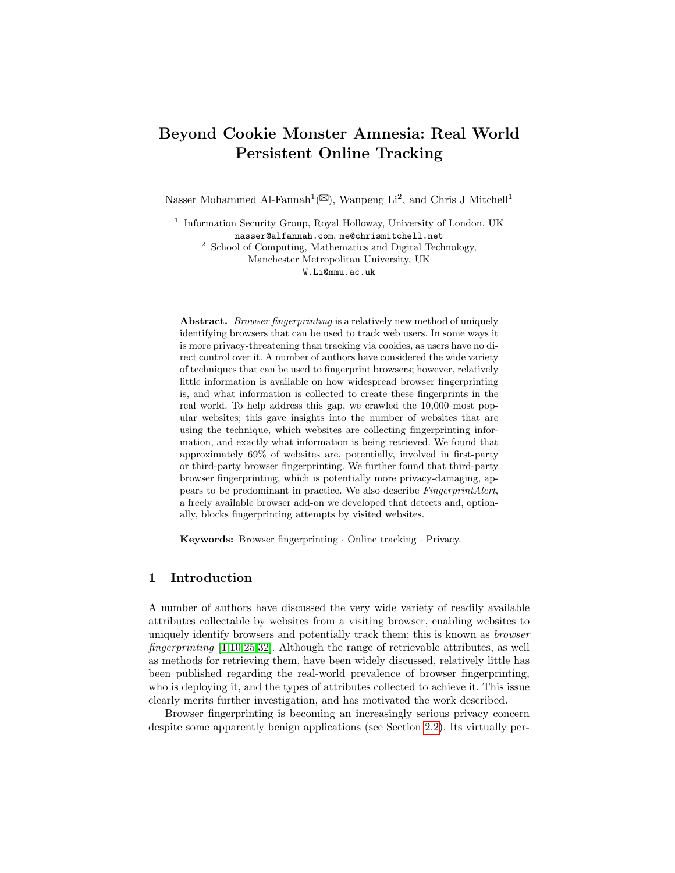# Beyond Cookie Monster Amnesia: Real World Persistent Online Tracking

Nasser Mohammed Al-Fannah<sup>1</sup>( $\boxtimes$ ), Wanpeng Li<sup>2</sup>, and Chris J Mitchell<sup>1</sup>

<sup>1</sup> Information Security Group, Royal Holloway, University of London, UK nasser@alfannah.com, me@chrismitchell.net <sup>2</sup> School of Computing, Mathematics and Digital Technology,

> Manchester Metropolitan University, UK W.Li@mmu.ac.uk

Abstract. Browser fingerprinting is a relatively new method of uniquely identifying browsers that can be used to track web users. In some ways it is more privacy-threatening than tracking via cookies, as users have no direct control over it. A number of authors have considered the wide variety of techniques that can be used to fingerprint browsers; however, relatively little information is available on how widespread browser fingerprinting is, and what information is collected to create these fingerprints in the real world. To help address this gap, we crawled the 10,000 most popular websites; this gave insights into the number of websites that are using the technique, which websites are collecting fingerprinting information, and exactly what information is being retrieved. We found that approximately 69% of websites are, potentially, involved in first-party or third-party browser fingerprinting. We further found that third-party browser fingerprinting, which is potentially more privacy-damaging, appears to be predominant in practice. We also describe FingerprintAlert, a freely available browser add-on we developed that detects and, optionally, blocks fingerprinting attempts by visited websites.

Keywords: Browser fingerprinting · Online tracking · Privacy.

# 1 Introduction

A number of authors have discussed the very wide variety of readily available attributes collectable by websites from a visiting browser, enabling websites to uniquely identify browsers and potentially track them; this is known as browser fingerprinting [\[1,](#page-15-0)[10](#page-15-1)[,25](#page-16-0)[,32\]](#page-17-0). Although the range of retrievable attributes, as well as methods for retrieving them, have been widely discussed, relatively little has been published regarding the real-world prevalence of browser fingerprinting, who is deploying it, and the types of attributes collected to achieve it. This issue clearly merits further investigation, and has motivated the work described.

Browser fingerprinting is becoming an increasingly serious privacy concern despite some apparently benign applications (see Section [2.2\)](#page-2-0). Its virtually per-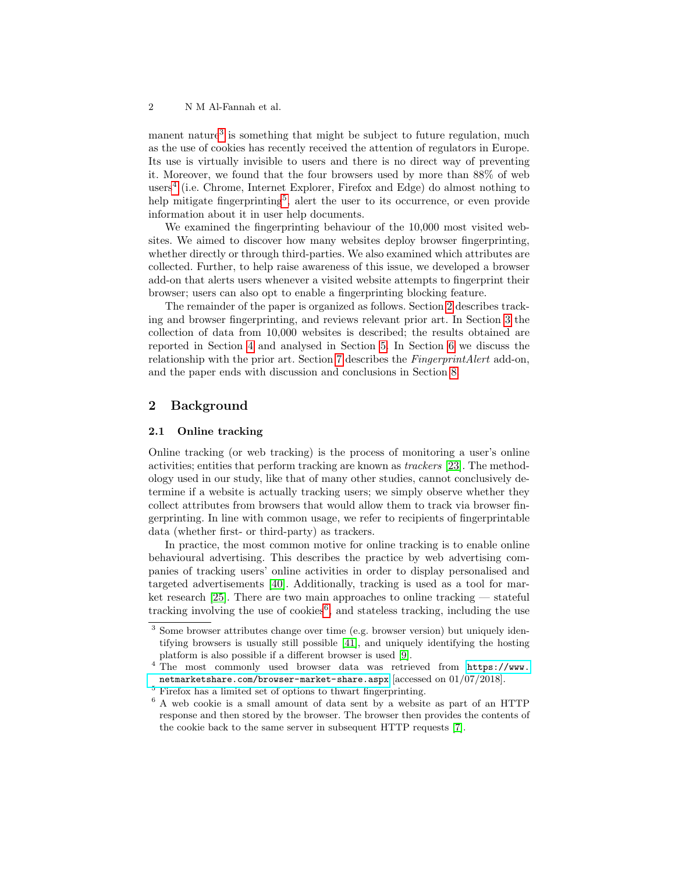manent nature<sup>[3](#page-1-0)</sup> is something that might be subject to future regulation, much as the use of cookies has recently received the attention of regulators in Europe. Its use is virtually invisible to users and there is no direct way of preventing it. Moreover, we found that the four browsers used by more than 88% of web users[4](#page-1-1) (i.e. Chrome, Internet Explorer, Firefox and Edge) do almost nothing to help mitigate fingerprinting<sup>[5](#page-1-2)</sup>, alert the user to its occurrence, or even provide information about it in user help documents.

We examined the fingerprinting behaviour of the 10,000 most visited websites. We aimed to discover how many websites deploy browser fingerprinting, whether directly or through third-parties. We also examined which attributes are collected. Further, to help raise awareness of this issue, we developed a browser add-on that alerts users whenever a visited website attempts to fingerprint their browser; users can also opt to enable a fingerprinting blocking feature.

The remainder of the paper is organized as follows. Section [2](#page-1-3) describes tracking and browser fingerprinting, and reviews relevant prior art. In Section [3](#page-4-0) the collection of data from 10,000 websites is described; the results obtained are reported in Section [4](#page-7-0) and analysed in Section [5.](#page-9-0) In Section [6](#page-12-0) we discuss the relationship with the prior art. Section [7](#page-12-1) describes the FingerprintAlert add-on, and the paper ends with discussion and conclusions in Section [8.](#page-14-0)

# <span id="page-1-3"></span>2 Background

# 2.1 Online tracking

Online tracking (or web tracking) is the process of monitoring a user's online activities; entities that perform tracking are known as trackers [\[23\]](#page-16-1). The methodology used in our study, like that of many other studies, cannot conclusively determine if a website is actually tracking users; we simply observe whether they collect attributes from browsers that would allow them to track via browser fingerprinting. In line with common usage, we refer to recipients of fingerprintable data (whether first- or third-party) as trackers.

In practice, the most common motive for online tracking is to enable online behavioural advertising. This describes the practice by web advertising companies of tracking users' online activities in order to display personalised and targeted advertisements [\[40\]](#page-17-1). Additionally, tracking is used as a tool for market research [\[25\]](#page-16-0). There are two main approaches to online tracking — stateful tracking involving the use of cookies<sup>[6](#page-1-4)</sup>, and stateless tracking, including the use

<span id="page-1-0"></span><sup>&</sup>lt;sup>3</sup> Some browser attributes change over time (e.g. browser version) but uniquely identifying browsers is usually still possible [\[41\]](#page-17-2), and uniquely identifying the hosting platform is also possible if a different browser is used [\[9\]](#page-15-2).

<span id="page-1-1"></span><sup>&</sup>lt;sup>4</sup> The most commonly used browser data was retrieved from [https://www.]( https://www.netmarketshare.com/browser-market-share.aspx) [netmarketshare.com/browser-market-share.aspx]( https://www.netmarketshare.com/browser-market-share.aspx) [accessed on 01/07/2018].

<span id="page-1-2"></span> $^5$  Firefox has a limited set of options to thwart fingerprinting.

<span id="page-1-4"></span><sup>6</sup> A web cookie is a small amount of data sent by a website as part of an HTTP response and then stored by the browser. The browser then provides the contents of the cookie back to the same server in subsequent HTTP requests [\[7\]](#page-15-3).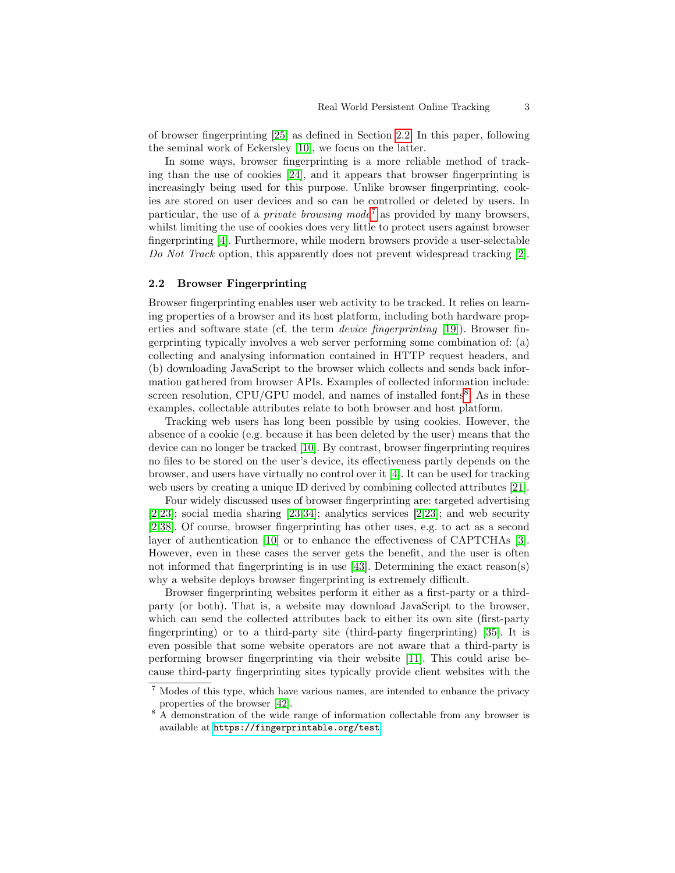of browser fingerprinting [\[25\]](#page-16-0) as defined in Section [2.2.](#page-2-0) In this paper, following the seminal work of Eckersley [\[10\]](#page-15-1), we focus on the latter.

In some ways, browser fingerprinting is a more reliable method of tracking than the use of cookies [\[24\]](#page-16-2), and it appears that browser fingerprinting is increasingly being used for this purpose. Unlike browser fingerprinting, cookies are stored on user devices and so can be controlled or deleted by users. In particular, the use of a *private browsing mode*<sup>[7](#page-2-1)</sup> as provided by many browsers, whilst limiting the use of cookies does very little to protect users against browser fingerprinting [\[4\]](#page-15-4). Furthermore, while modern browsers provide a user-selectable Do Not Track option, this apparently does not prevent widespread tracking [\[2\]](#page-15-5).

### <span id="page-2-0"></span>2.2 Browser Fingerprinting

Browser fingerprinting enables user web activity to be tracked. It relies on learning properties of a browser and its host platform, including both hardware properties and software state (cf. the term *device fingerprinting* [\[19\]](#page-16-3)). Browser fingerprinting typically involves a web server performing some combination of: (a) collecting and analysing information contained in HTTP request headers, and (b) downloading JavaScript to the browser which collects and sends back information gathered from browser APIs. Examples of collected information include: screen resolution, CPU/GPU model, and names of installed fonts<sup>[8](#page-2-2)</sup>. As in these examples, collectable attributes relate to both browser and host platform.

Tracking web users has long been possible by using cookies. However, the absence of a cookie (e.g. because it has been deleted by the user) means that the device can no longer be tracked [\[10\]](#page-15-1). By contrast, browser fingerprinting requires no files to be stored on the user's device, its effectiveness partly depends on the browser, and users have virtually no control over it [\[4\]](#page-15-4). It can be used for tracking web users by creating a unique ID derived by combining collected attributes [\[21\]](#page-16-4).

Four widely discussed uses of browser fingerprinting are: targeted advertising [\[2,](#page-15-5)[23\]](#page-16-1); social media sharing [\[23](#page-16-1)[,34\]](#page-17-3); analytics services [\[2,](#page-15-5)[23\]](#page-16-1); and web security [\[2,](#page-15-5)[38\]](#page-17-4). Of course, browser fingerprinting has other uses, e.g. to act as a second layer of authentication [\[10\]](#page-15-1) or to enhance the effectiveness of CAPTCHAs [\[3\]](#page-15-6). However, even in these cases the server gets the benefit, and the user is often not informed that fingerprinting is in use [\[43\]](#page-17-5). Determining the exact reason(s) why a website deploys browser fingerprinting is extremely difficult.

Browser fingerprinting websites perform it either as a first-party or a thirdparty (or both). That is, a website may download JavaScript to the browser, which can send the collected attributes back to either its own site (first-party fingerprinting) or to a third-party site (third-party fingerprinting) [\[35\]](#page-17-6). It is even possible that some website operators are not aware that a third-party is performing browser fingerprinting via their website [\[11\]](#page-15-7). This could arise because third-party fingerprinting sites typically provide client websites with the

<span id="page-2-1"></span><sup>7</sup> Modes of this type, which have various names, are intended to enhance the privacy properties of the browser [\[42\]](#page-17-7).

<span id="page-2-2"></span><sup>&</sup>lt;sup>8</sup> A demonstration of the wide range of information collectable from any browser is available at <https://fingerprintable.org/test>.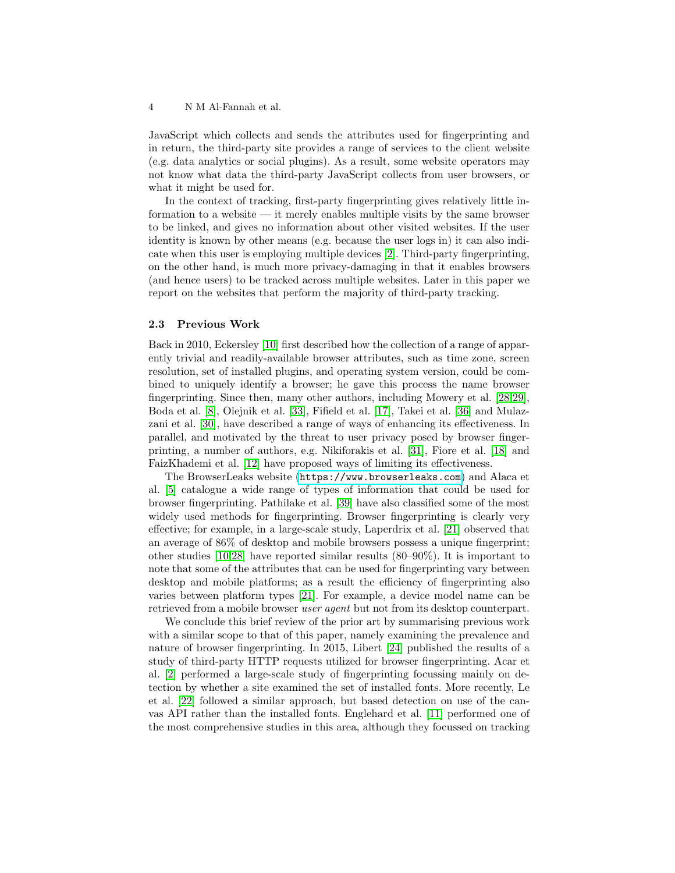JavaScript which collects and sends the attributes used for fingerprinting and in return, the third-party site provides a range of services to the client website (e.g. data analytics or social plugins). As a result, some website operators may not know what data the third-party JavaScript collects from user browsers, or what it might be used for.

In the context of tracking, first-party fingerprinting gives relatively little information to a website — it merely enables multiple visits by the same browser to be linked, and gives no information about other visited websites. If the user identity is known by other means (e.g. because the user logs in) it can also indicate when this user is employing multiple devices [\[2\]](#page-15-5). Third-party fingerprinting, on the other hand, is much more privacy-damaging in that it enables browsers (and hence users) to be tracked across multiple websites. Later in this paper we report on the websites that perform the majority of third-party tracking.

#### 2.3 Previous Work

Back in 2010, Eckersley [\[10\]](#page-15-1) first described how the collection of a range of apparently trivial and readily-available browser attributes, such as time zone, screen resolution, set of installed plugins, and operating system version, could be combined to uniquely identify a browser; he gave this process the name browser fingerprinting. Since then, many other authors, including Mowery et al. [\[28,](#page-16-5)[29\]](#page-16-6), Boda et al. [\[8\]](#page-15-8), Olejnik et al. [\[33\]](#page-17-8), Fifield et al. [\[17\]](#page-16-7), Takei et al. [\[36\]](#page-17-9) and Mulazzani et al. [\[30\]](#page-16-8), have described a range of ways of enhancing its effectiveness. In parallel, and motivated by the threat to user privacy posed by browser fingerprinting, a number of authors, e.g. Nikiforakis et al. [\[31\]](#page-16-9), Fiore et al. [\[18\]](#page-16-10) and FaizKhademi et al. [\[12\]](#page-15-9) have proposed ways of limiting its effectiveness.

The BrowserLeaks website (<https://www.browserleaks.com>) and Alaca et al. [\[5\]](#page-15-10) catalogue a wide range of types of information that could be used for browser fingerprinting. Pathilake et al. [\[39\]](#page-17-10) have also classified some of the most widely used methods for fingerprinting. Browser fingerprinting is clearly very effective; for example, in a large-scale study, Laperdrix et al. [\[21\]](#page-16-4) observed that an average of 86% of desktop and mobile browsers possess a unique fingerprint; other studies [\[10](#page-15-1)[,28\]](#page-16-5) have reported similar results (80–90%). It is important to note that some of the attributes that can be used for fingerprinting vary between desktop and mobile platforms; as a result the efficiency of fingerprinting also varies between platform types [\[21\]](#page-16-4). For example, a device model name can be retrieved from a mobile browser user agent but not from its desktop counterpart.

We conclude this brief review of the prior art by summarising previous work with a similar scope to that of this paper, namely examining the prevalence and nature of browser fingerprinting. In 2015, Libert [\[24\]](#page-16-2) published the results of a study of third-party HTTP requests utilized for browser fingerprinting. Acar et al. [\[2\]](#page-15-5) performed a large-scale study of fingerprinting focussing mainly on detection by whether a site examined the set of installed fonts. More recently, Le et al. [\[22\]](#page-16-11) followed a similar approach, but based detection on use of the canvas API rather than the installed fonts. Englehard et al. [\[11\]](#page-15-7) performed one of the most comprehensive studies in this area, although they focussed on tracking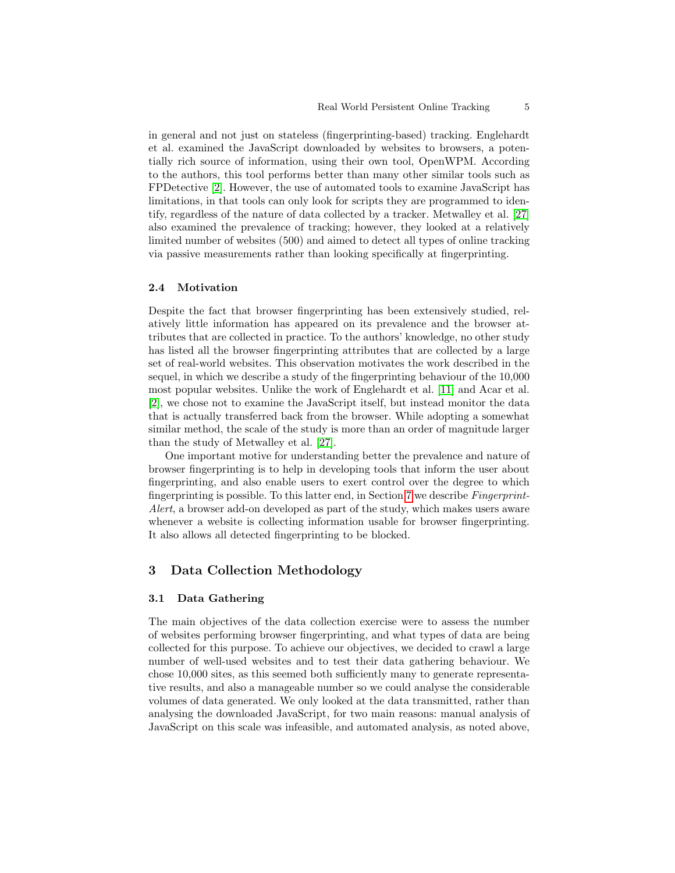in general and not just on stateless (fingerprinting-based) tracking. Englehardt et al. examined the JavaScript downloaded by websites to browsers, a potentially rich source of information, using their own tool, OpenWPM. According to the authors, this tool performs better than many other similar tools such as FPDetective [\[2\]](#page-15-5). However, the use of automated tools to examine JavaScript has limitations, in that tools can only look for scripts they are programmed to identify, regardless of the nature of data collected by a tracker. Metwalley et al. [\[27\]](#page-16-12) also examined the prevalence of tracking; however, they looked at a relatively limited number of websites (500) and aimed to detect all types of online tracking via passive measurements rather than looking specifically at fingerprinting.

#### 2.4 Motivation

Despite the fact that browser fingerprinting has been extensively studied, relatively little information has appeared on its prevalence and the browser attributes that are collected in practice. To the authors' knowledge, no other study has listed all the browser fingerprinting attributes that are collected by a large set of real-world websites. This observation motivates the work described in the sequel, in which we describe a study of the fingerprinting behaviour of the 10,000 most popular websites. Unlike the work of Englehardt et al. [\[11\]](#page-15-7) and Acar et al. [\[2\]](#page-15-5), we chose not to examine the JavaScript itself, but instead monitor the data that is actually transferred back from the browser. While adopting a somewhat similar method, the scale of the study is more than an order of magnitude larger than the study of Metwalley et al. [\[27\]](#page-16-12).

One important motive for understanding better the prevalence and nature of browser fingerprinting is to help in developing tools that inform the user about fingerprinting, and also enable users to exert control over the degree to which fingerprinting is possible. To this latter end, in Section [7](#page-12-1) we describe Fingerprint-Alert, a browser add-on developed as part of the study, which makes users aware whenever a website is collecting information usable for browser fingerprinting. It also allows all detected fingerprinting to be blocked.

# <span id="page-4-0"></span>3 Data Collection Methodology

# 3.1 Data Gathering

The main objectives of the data collection exercise were to assess the number of websites performing browser fingerprinting, and what types of data are being collected for this purpose. To achieve our objectives, we decided to crawl a large number of well-used websites and to test their data gathering behaviour. We chose 10,000 sites, as this seemed both sufficiently many to generate representative results, and also a manageable number so we could analyse the considerable volumes of data generated. We only looked at the data transmitted, rather than analysing the downloaded JavaScript, for two main reasons: manual analysis of JavaScript on this scale was infeasible, and automated analysis, as noted above,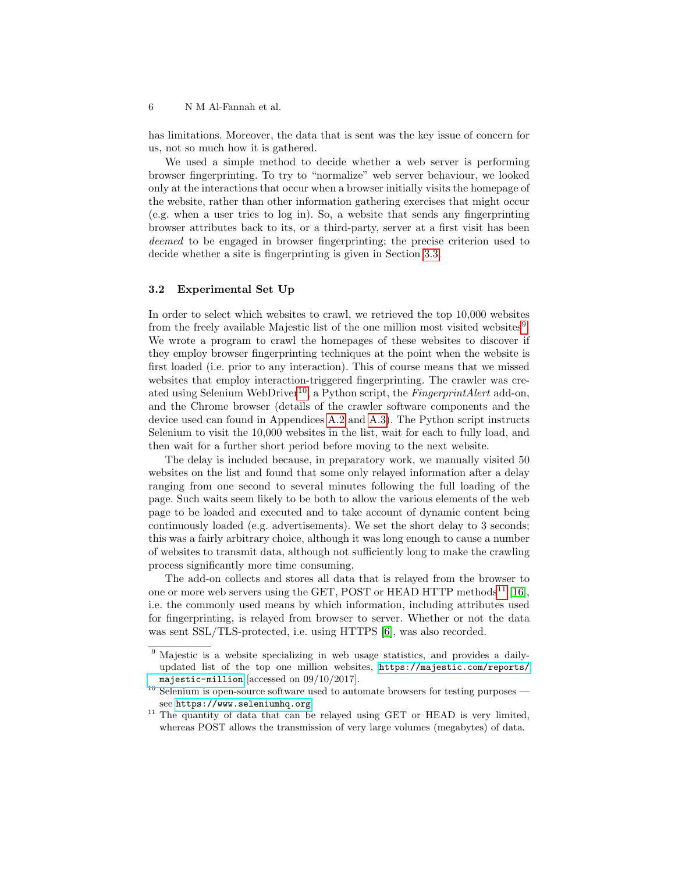has limitations. Moreover, the data that is sent was the key issue of concern for us, not so much how it is gathered.

We used a simple method to decide whether a web server is performing browser fingerprinting. To try to "normalize" web server behaviour, we looked only at the interactions that occur when a browser initially visits the homepage of the website, rather than other information gathering exercises that might occur (e.g. when a user tries to log in). So, a website that sends any fingerprinting browser attributes back to its, or a third-party, server at a first visit has been deemed to be engaged in browser fingerprinting; the precise criterion used to decide whether a site is fingerprinting is given in Section [3.3.](#page-6-0)

## <span id="page-5-3"></span>3.2 Experimental Set Up

In order to select which websites to crawl, we retrieved the top 10,000 websites from the freely available Majestic list of the one million most visited websites<sup>[9](#page-5-0)</sup>. We wrote a program to crawl the homepages of these websites to discover if they employ browser fingerprinting techniques at the point when the website is first loaded (i.e. prior to any interaction). This of course means that we missed websites that employ interaction-triggered fingerprinting. The crawler was cre-ated using Selenium WebDriver<sup>[10](#page-5-1)</sup>, a Python script, the  $FingerprintAlert$  add-on, and the Chrome browser (details of the crawler software components and the device used can found in Appendices [A.2](#page-18-0) and [A.3\)](#page-18-1). The Python script instructs Selenium to visit the 10,000 websites in the list, wait for each to fully load, and then wait for a further short period before moving to the next website.

The delay is included because, in preparatory work, we manually visited 50 websites on the list and found that some only relayed information after a delay ranging from one second to several minutes following the full loading of the page. Such waits seem likely to be both to allow the various elements of the web page to be loaded and executed and to take account of dynamic content being continuously loaded (e.g. advertisements). We set the short delay to 3 seconds; this was a fairly arbitrary choice, although it was long enough to cause a number of websites to transmit data, although not sufficiently long to make the crawling process significantly more time consuming.

The add-on collects and stores all data that is relayed from the browser to one or more web servers using the GET, POST or HEAD HTTP methods<sup>[11](#page-5-2)</sup> [\[16\]](#page-16-13), i.e. the commonly used means by which information, including attributes used for fingerprinting, is relayed from browser to server. Whether or not the data was sent SSL/TLS-protected, i.e. using HTTPS [\[6\]](#page-15-11), was also recorded.

<span id="page-5-0"></span><sup>&</sup>lt;sup>9</sup> Majestic is a website specializing in web usage statistics, and provides a dailyupdated list of the top one million websites, [https://majestic.com/reports/](https://majestic.com/reports/majestic-million) [majestic-million](https://majestic.com/reports/majestic-million) [accessed on 09/10/2017].

<span id="page-5-1"></span> $^{10}$  Selenium is open-source software used to automate browsers for testing purposes  $-\,$ see [https://www.seleniumhq.org]( https://www.seleniumhq.org).

<span id="page-5-2"></span><sup>&</sup>lt;sup>11</sup> The quantity of data that can be relayed using GET or HEAD is very limited, whereas POST allows the transmission of very large volumes (megabytes) of data.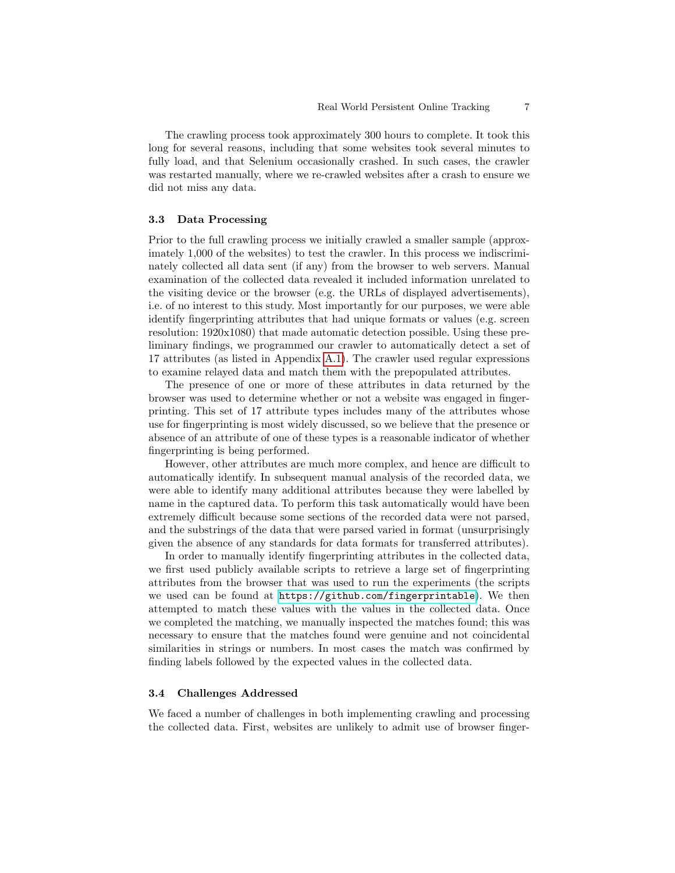The crawling process took approximately 300 hours to complete. It took this long for several reasons, including that some websites took several minutes to fully load, and that Selenium occasionally crashed. In such cases, the crawler was restarted manually, where we re-crawled websites after a crash to ensure we did not miss any data.

#### <span id="page-6-0"></span>3.3 Data Processing

Prior to the full crawling process we initially crawled a smaller sample (approximately 1,000 of the websites) to test the crawler. In this process we indiscriminately collected all data sent (if any) from the browser to web servers. Manual examination of the collected data revealed it included information unrelated to the visiting device or the browser (e.g. the URLs of displayed advertisements), i.e. of no interest to this study. Most importantly for our purposes, we were able identify fingerprinting attributes that had unique formats or values (e.g. screen resolution: 1920x1080) that made automatic detection possible. Using these preliminary findings, we programmed our crawler to automatically detect a set of 17 attributes (as listed in Appendix [A.1\)](#page-17-11). The crawler used regular expressions to examine relayed data and match them with the prepopulated attributes.

The presence of one or more of these attributes in data returned by the browser was used to determine whether or not a website was engaged in fingerprinting. This set of 17 attribute types includes many of the attributes whose use for fingerprinting is most widely discussed, so we believe that the presence or absence of an attribute of one of these types is a reasonable indicator of whether fingerprinting is being performed.

However, other attributes are much more complex, and hence are difficult to automatically identify. In subsequent manual analysis of the recorded data, we were able to identify many additional attributes because they were labelled by name in the captured data. To perform this task automatically would have been extremely difficult because some sections of the recorded data were not parsed, and the substrings of the data that were parsed varied in format (unsurprisingly given the absence of any standards for data formats for transferred attributes).

In order to manually identify fingerprinting attributes in the collected data, we first used publicly available scripts to retrieve a large set of fingerprinting attributes from the browser that was used to run the experiments (the scripts we used can be found at <https://github.com/fingerprintable>). We then attempted to match these values with the values in the collected data. Once we completed the matching, we manually inspected the matches found; this was necessary to ensure that the matches found were genuine and not coincidental similarities in strings or numbers. In most cases the match was confirmed by finding labels followed by the expected values in the collected data.

#### 3.4 Challenges Addressed

We faced a number of challenges in both implementing crawling and processing the collected data. First, websites are unlikely to admit use of browser finger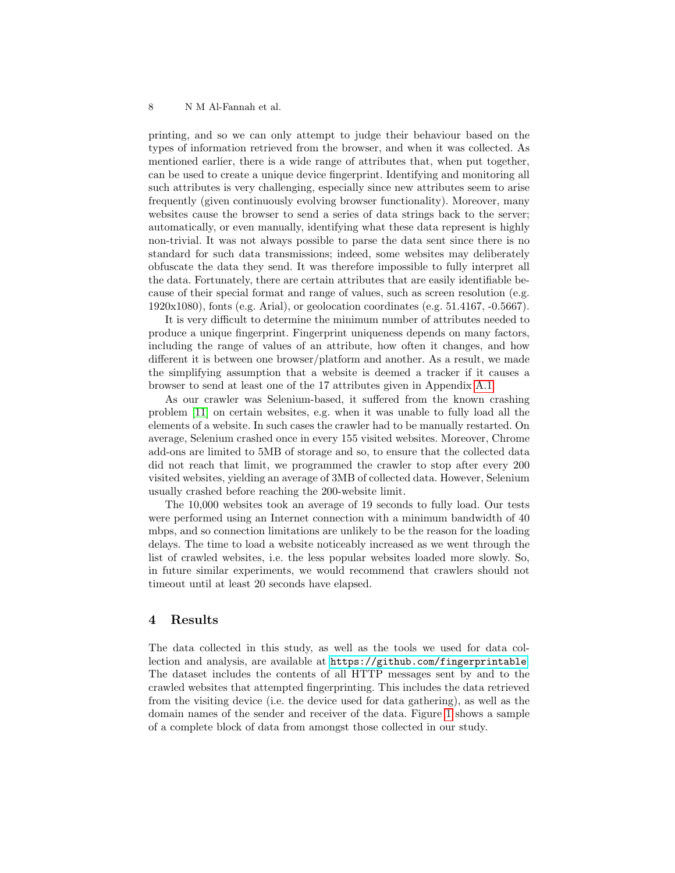printing, and so we can only attempt to judge their behaviour based on the types of information retrieved from the browser, and when it was collected. As mentioned earlier, there is a wide range of attributes that, when put together, can be used to create a unique device fingerprint. Identifying and monitoring all such attributes is very challenging, especially since new attributes seem to arise frequently (given continuously evolving browser functionality). Moreover, many websites cause the browser to send a series of data strings back to the server; automatically, or even manually, identifying what these data represent is highly non-trivial. It was not always possible to parse the data sent since there is no standard for such data transmissions; indeed, some websites may deliberately obfuscate the data they send. It was therefore impossible to fully interpret all the data. Fortunately, there are certain attributes that are easily identifiable because of their special format and range of values, such as screen resolution (e.g. 1920x1080), fonts (e.g. Arial), or geolocation coordinates (e.g. 51.4167, -0.5667).

It is very difficult to determine the minimum number of attributes needed to produce a unique fingerprint. Fingerprint uniqueness depends on many factors, including the range of values of an attribute, how often it changes, and how different it is between one browser/platform and another. As a result, we made the simplifying assumption that a website is deemed a tracker if it causes a browser to send at least one of the 17 attributes given in Appendix [A.1.](#page-17-11)

As our crawler was Selenium-based, it suffered from the known crashing problem [\[11\]](#page-15-7) on certain websites, e.g. when it was unable to fully load all the elements of a website. In such cases the crawler had to be manually restarted. On average, Selenium crashed once in every 155 visited websites. Moreover, Chrome add-ons are limited to 5MB of storage and so, to ensure that the collected data did not reach that limit, we programmed the crawler to stop after every 200 visited websites, yielding an average of 3MB of collected data. However, Selenium usually crashed before reaching the 200-website limit.

The 10,000 websites took an average of 19 seconds to fully load. Our tests were performed using an Internet connection with a minimum bandwidth of 40 mbps, and so connection limitations are unlikely to be the reason for the loading delays. The time to load a website noticeably increased as we went through the list of crawled websites, i.e. the less popular websites loaded more slowly. So, in future similar experiments, we would recommend that crawlers should not timeout until at least 20 seconds have elapsed.

# <span id="page-7-0"></span>4 Results

The data collected in this study, as well as the tools we used for data collection and analysis, are available at [https://github.com/fingerprintable]( https://github.com/fingerprintable). The dataset includes the contents of all HTTP messages sent by and to the crawled websites that attempted fingerprinting. This includes the data retrieved from the visiting device (i.e. the device used for data gathering), as well as the domain names of the sender and receiver of the data. Figure [1](#page-8-0) shows a sample of a complete block of data from amongst those collected in our study.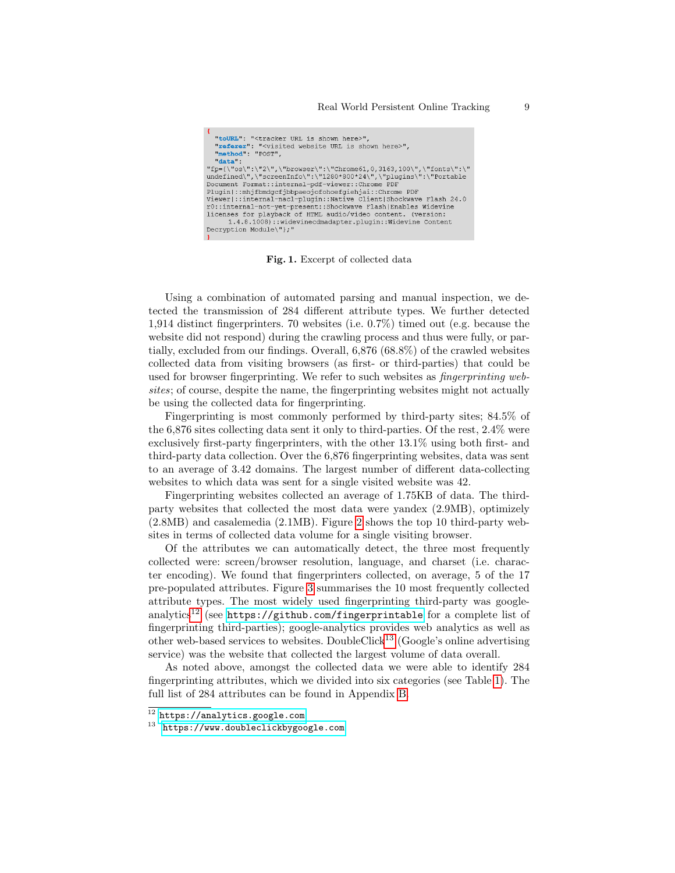```
"toURL": "<tracker URL is shown here>",
   "referer": "<visited website URL is shown here>",
   "method": "POST",
   "data":
"fp=(\Nos\<br>'':\"2\",\"browser\":\"Chrome61,0,3163,100\",\"fonts\":\"\mdefined\",\"screenInfo\":\"1280*800*24\",\"plugins\":\"Portable Document Format::internal-pdf-viewer::Chrome PDF
\verb!Plugin|::mhjfbmdgcfjbbpaeojofohoefgiehjai::Chrome PDFViewer|::internal-nacl-plugin::Native Client|Shockwave Flash 24.0<br>r0::internal-not-yet-present::Shockwave Flash|Enables Widevine
licenses for playback of HTML audio/video content. (version:
        1.4.8.1008)::widevinecdmadapter.plugin::Widevine Content
Decryption Module\"};"
```
<span id="page-8-0"></span>Fig. 1. Excerpt of collected data

Using a combination of automated parsing and manual inspection, we detected the transmission of 284 different attribute types. We further detected 1,914 distinct fingerprinters. 70 websites (i.e. 0.7%) timed out (e.g. because the website did not respond) during the crawling process and thus were fully, or partially, excluded from our findings. Overall, 6,876 (68.8%) of the crawled websites collected data from visiting browsers (as first- or third-parties) that could be used for browser fingerprinting. We refer to such websites as fingerprinting websites; of course, despite the name, the fingerprinting websites might not actually be using the collected data for fingerprinting.

Fingerprinting is most commonly performed by third-party sites; 84.5% of the 6,876 sites collecting data sent it only to third-parties. Of the rest, 2.4% were exclusively first-party fingerprinters, with the other 13.1% using both first- and third-party data collection. Over the 6,876 fingerprinting websites, data was sent to an average of 3.42 domains. The largest number of different data-collecting websites to which data was sent for a single visited website was 42.

Fingerprinting websites collected an average of 1.75KB of data. The thirdparty websites that collected the most data were yandex (2.9MB), optimizely (2.8MB) and casalemedia (2.1MB). Figure [2](#page-9-1) shows the top 10 third-party websites in terms of collected data volume for a single visiting browser.

Of the attributes we can automatically detect, the three most frequently collected were: screen/browser resolution, language, and charset (i.e. character encoding). We found that fingerprinters collected, on average, 5 of the 17 pre-populated attributes. Figure [3](#page-10-0) summarises the 10 most frequently collected attribute types. The most widely used fingerprinting third-party was google-analytics<sup>[12](#page-8-1)</sup> (see <https://github.com/fingerprintable> for a complete list of fingerprinting third-parties); google-analytics provides web analytics as well as other web-based services to websites. DoubleClick<sup>[13](#page-8-2)</sup> (Google's online advertising service) was the website that collected the largest volume of data overall.

As noted above, amongst the collected data we were able to identify 284 fingerprinting attributes, which we divided into six categories (see Table [1\)](#page-9-2). The full list of 284 attributes can be found in Appendix [B.](#page-18-2)

<span id="page-8-1"></span> $12$  <https://analytics.google.com>

<span id="page-8-2"></span><sup>13</sup> <https://www.doubleclickbygoogle.com>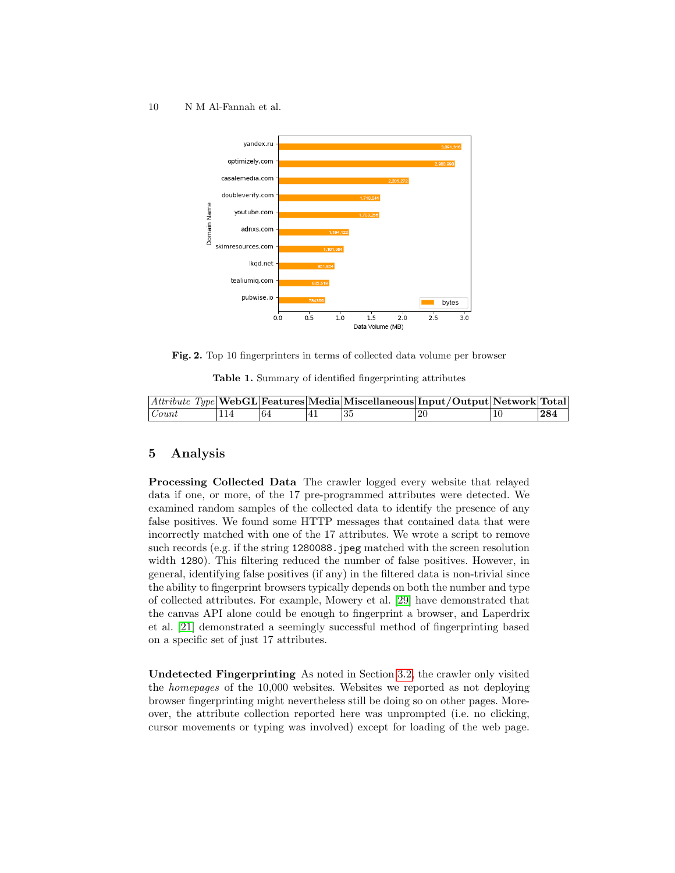

Fig. 2. Top 10 fingerprinters in terms of collected data volume per browser

<span id="page-9-2"></span><span id="page-9-1"></span>Table 1. Summary of identified fingerprinting attributes

|               |     |     |    | Attribute Type WebGL Features Media Miscellaneous Input/Output Network Total |     |
|---------------|-----|-----|----|------------------------------------------------------------------------------|-----|
| $\vert$ Count | 114 | '64 | 35 | 20                                                                           | 284 |

# <span id="page-9-0"></span>5 Analysis

Processing Collected Data The crawler logged every website that relayed data if one, or more, of the 17 pre-programmed attributes were detected. We examined random samples of the collected data to identify the presence of any false positives. We found some HTTP messages that contained data that were incorrectly matched with one of the 17 attributes. We wrote a script to remove such records (e.g. if the string 1280088.jpeg matched with the screen resolution width 1280). This filtering reduced the number of false positives. However, in general, identifying false positives (if any) in the filtered data is non-trivial since the ability to fingerprint browsers typically depends on both the number and type of collected attributes. For example, Mowery et al. [\[29\]](#page-16-6) have demonstrated that the canvas API alone could be enough to fingerprint a browser, and Laperdrix et al. [\[21\]](#page-16-4) demonstrated a seemingly successful method of fingerprinting based on a specific set of just 17 attributes.

Undetected Fingerprinting As noted in Section [3.2,](#page-5-3) the crawler only visited the homepages of the 10,000 websites. Websites we reported as not deploying browser fingerprinting might nevertheless still be doing so on other pages. Moreover, the attribute collection reported here was unprompted (i.e. no clicking, cursor movements or typing was involved) except for loading of the web page.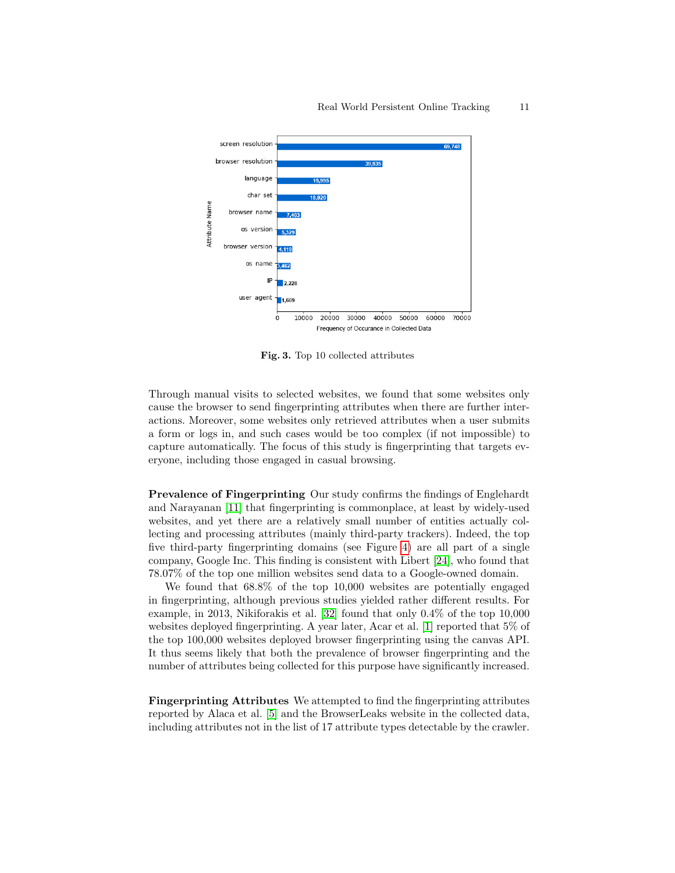

<span id="page-10-0"></span>Fig. 3. Top 10 collected attributes

Through manual visits to selected websites, we found that some websites only cause the browser to send fingerprinting attributes when there are further interactions. Moreover, some websites only retrieved attributes when a user submits a form or logs in, and such cases would be too complex (if not impossible) to capture automatically. The focus of this study is fingerprinting that targets everyone, including those engaged in casual browsing.

<span id="page-10-1"></span>Prevalence of Fingerprinting Our study confirms the findings of Englehardt and Narayanan [\[11\]](#page-15-7) that fingerprinting is commonplace, at least by widely-used websites, and yet there are a relatively small number of entities actually collecting and processing attributes (mainly third-party trackers). Indeed, the top five third-party fingerprinting domains (see Figure [4\)](#page-11-0) are all part of a single company, Google Inc. This finding is consistent with Libert [\[24\]](#page-16-2), who found that 78.07% of the top one million websites send data to a Google-owned domain.

We found that 68.8% of the top 10,000 websites are potentially engaged in fingerprinting, although previous studies yielded rather different results. For example, in 2013, Nikiforakis et al. [\[32\]](#page-17-0) found that only 0.4% of the top 10,000 websites deployed fingerprinting. A year later, Acar et al. [\[1\]](#page-15-0) reported that 5% of the top 100,000 websites deployed browser fingerprinting using the canvas API. It thus seems likely that both the prevalence of browser fingerprinting and the number of attributes being collected for this purpose have significantly increased.

Fingerprinting Attributes We attempted to find the fingerprinting attributes reported by Alaca et al. [\[5\]](#page-15-10) and the BrowserLeaks website in the collected data, including attributes not in the list of 17 attribute types detectable by the crawler.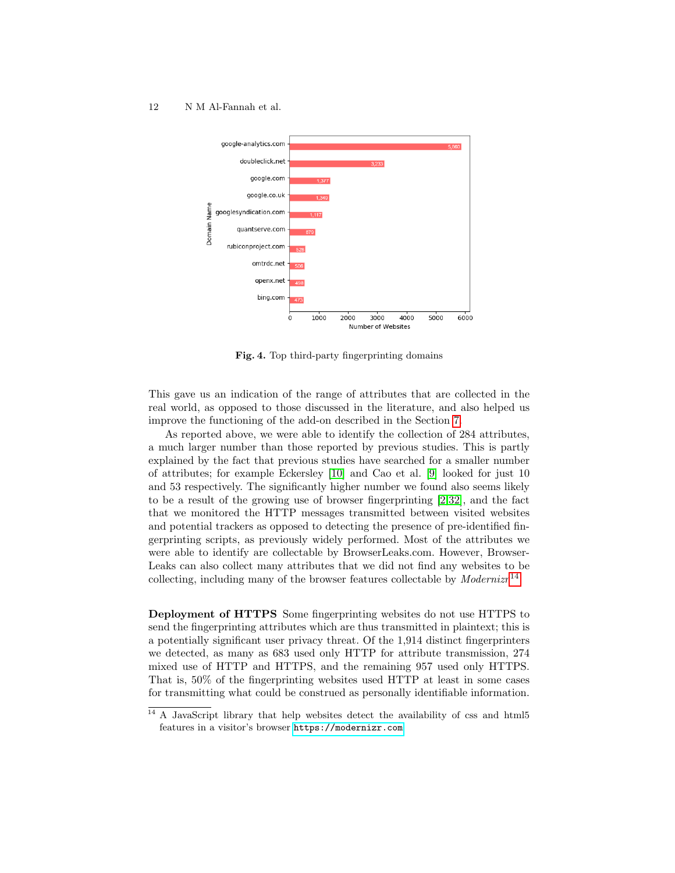

<span id="page-11-0"></span>Fig. 4. Top third-party fingerprinting domains

This gave us an indication of the range of attributes that are collected in the real world, as opposed to those discussed in the literature, and also helped us improve the functioning of the add-on described in the Section [7.](#page-12-1)

As reported above, we were able to identify the collection of 284 attributes, a much larger number than those reported by previous studies. This is partly explained by the fact that previous studies have searched for a smaller number of attributes; for example Eckersley [\[10\]](#page-15-1) and Cao et al. [\[9\]](#page-15-2) looked for just 10 and 53 respectively. The significantly higher number we found also seems likely to be a result of the growing use of browser fingerprinting [\[2](#page-15-5)[,32\]](#page-17-0), and the fact that we monitored the HTTP messages transmitted between visited websites and potential trackers as opposed to detecting the presence of pre-identified fingerprinting scripts, as previously widely performed. Most of the attributes we were able to identify are collectable by BrowserLeaks.com. However, Browser-Leaks can also collect many attributes that we did not find any websites to be collecting, including many of the browser features collectable by  $Modernizr<sup>14</sup>$  $Modernizr<sup>14</sup>$  $Modernizr<sup>14</sup>$ .

Deployment of HTTPS Some fingerprinting websites do not use HTTPS to send the fingerprinting attributes which are thus transmitted in plaintext; this is a potentially significant user privacy threat. Of the 1,914 distinct fingerprinters we detected, as many as 683 used only HTTP for attribute transmission, 274 mixed use of HTTP and HTTPS, and the remaining 957 used only HTTPS. That is, 50% of the fingerprinting websites used HTTP at least in some cases for transmitting what could be construed as personally identifiable information.

<span id="page-11-1"></span><sup>&</sup>lt;sup>14</sup> A JavaScript library that help websites detect the availability of css and html5 features in a visitor's browser <https://modernizr.com>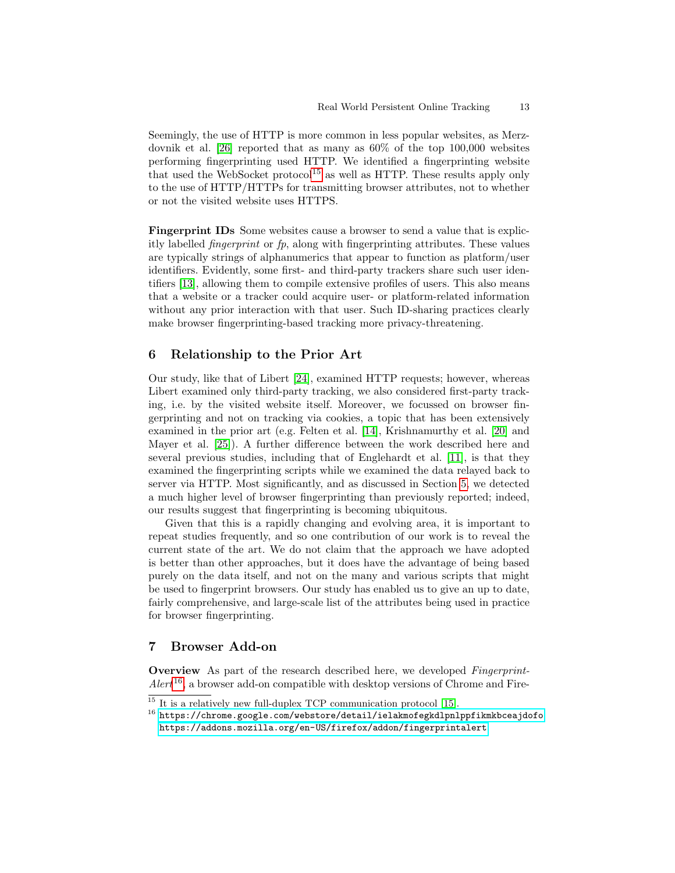Seemingly, the use of HTTP is more common in less popular websites, as Merzdovnik et al. [\[26\]](#page-16-14) reported that as many as 60% of the top 100,000 websites performing fingerprinting used HTTP. We identified a fingerprinting website that used the WebSocket protocol<sup>[15](#page-12-2)</sup> as well as HTTP. These results apply only to the use of HTTP/HTTPs for transmitting browser attributes, not to whether or not the visited website uses HTTPS.

Fingerprint IDs Some websites cause a browser to send a value that is explicitly labelled fingerprint or fp, along with fingerprinting attributes. These values are typically strings of alphanumerics that appear to function as platform/user identifiers. Evidently, some first- and third-party trackers share such user identifiers [\[13\]](#page-15-12), allowing them to compile extensive profiles of users. This also means that a website or a tracker could acquire user- or platform-related information without any prior interaction with that user. Such ID-sharing practices clearly make browser fingerprinting-based tracking more privacy-threatening.

# <span id="page-12-0"></span>6 Relationship to the Prior Art

Our study, like that of Libert [\[24\]](#page-16-2), examined HTTP requests; however, whereas Libert examined only third-party tracking, we also considered first-party tracking, i.e. by the visited website itself. Moreover, we focussed on browser fingerprinting and not on tracking via cookies, a topic that has been extensively examined in the prior art (e.g. Felten et al. [\[14\]](#page-15-13), Krishnamurthy et al. [\[20\]](#page-16-15) and Mayer et al. [\[25\]](#page-16-0)). A further difference between the work described here and several previous studies, including that of Englehardt et al. [\[11\]](#page-15-7), is that they examined the fingerprinting scripts while we examined the data relayed back to server via HTTP. Most significantly, and as discussed in Section [5,](#page-10-1) we detected a much higher level of browser fingerprinting than previously reported; indeed, our results suggest that fingerprinting is becoming ubiquitous.

Given that this is a rapidly changing and evolving area, it is important to repeat studies frequently, and so one contribution of our work is to reveal the current state of the art. We do not claim that the approach we have adopted is better than other approaches, but it does have the advantage of being based purely on the data itself, and not on the many and various scripts that might be used to fingerprint browsers. Our study has enabled us to give an up to date, fairly comprehensive, and large-scale list of the attributes being used in practice for browser fingerprinting.

# <span id="page-12-1"></span>7 Browser Add-on

Overview As part of the research described here, we developed Fingerprint- $Alert^{16}$  $Alert^{16}$  $Alert^{16}$ , a browser add-on compatible with desktop versions of Chrome and Fire-

<span id="page-12-2"></span> $15$  It is a relatively new full-duplex TCP communication protocol [\[15\]](#page-15-14).

<span id="page-12-3"></span> $^{16}$ <https://chrome.google.com/webstore/detail/ielakmofegkdlpnlppfikmkbceajdofo> <https://addons.mozilla.org/en-US/firefox/addon/fingerprintalert>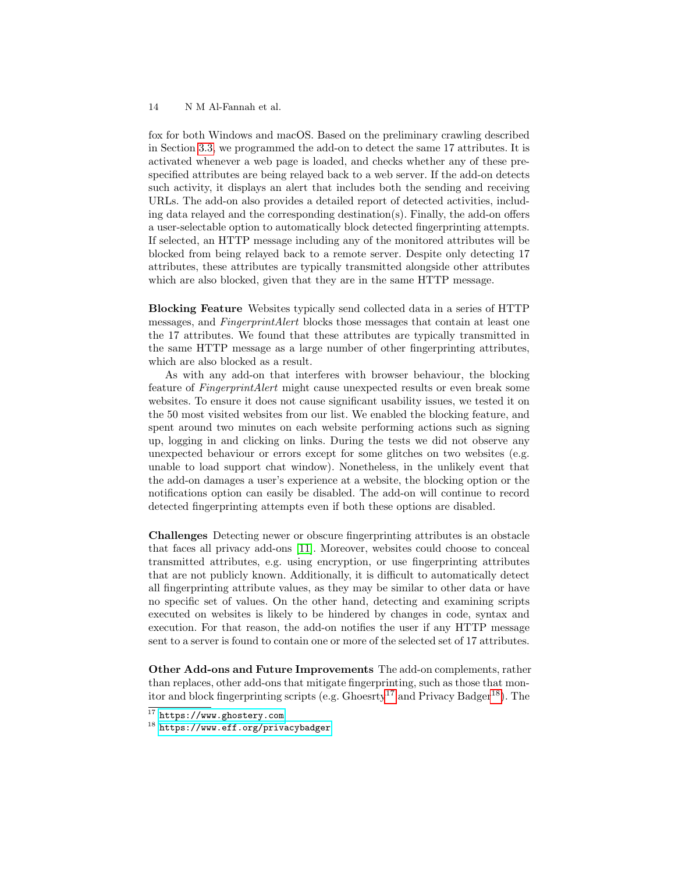fox for both Windows and macOS. Based on the preliminary crawling described in Section [3.3,](#page-6-0) we programmed the add-on to detect the same 17 attributes. It is activated whenever a web page is loaded, and checks whether any of these prespecified attributes are being relayed back to a web server. If the add-on detects such activity, it displays an alert that includes both the sending and receiving URLs. The add-on also provides a detailed report of detected activities, including data relayed and the corresponding destination(s). Finally, the add-on offers a user-selectable option to automatically block detected fingerprinting attempts. If selected, an HTTP message including any of the monitored attributes will be blocked from being relayed back to a remote server. Despite only detecting 17 attributes, these attributes are typically transmitted alongside other attributes which are also blocked, given that they are in the same HTTP message.

Blocking Feature Websites typically send collected data in a series of HTTP messages, and FingerprintAlert blocks those messages that contain at least one the 17 attributes. We found that these attributes are typically transmitted in the same HTTP message as a large number of other fingerprinting attributes, which are also blocked as a result.

As with any add-on that interferes with browser behaviour, the blocking feature of FingerprintAlert might cause unexpected results or even break some websites. To ensure it does not cause significant usability issues, we tested it on the 50 most visited websites from our list. We enabled the blocking feature, and spent around two minutes on each website performing actions such as signing up, logging in and clicking on links. During the tests we did not observe any unexpected behaviour or errors except for some glitches on two websites (e.g. unable to load support chat window). Nonetheless, in the unlikely event that the add-on damages a user's experience at a website, the blocking option or the notifications option can easily be disabled. The add-on will continue to record detected fingerprinting attempts even if both these options are disabled.

Challenges Detecting newer or obscure fingerprinting attributes is an obstacle that faces all privacy add-ons [\[11\]](#page-15-7). Moreover, websites could choose to conceal transmitted attributes, e.g. using encryption, or use fingerprinting attributes that are not publicly known. Additionally, it is difficult to automatically detect all fingerprinting attribute values, as they may be similar to other data or have no specific set of values. On the other hand, detecting and examining scripts executed on websites is likely to be hindered by changes in code, syntax and execution. For that reason, the add-on notifies the user if any HTTP message sent to a server is found to contain one or more of the selected set of 17 attributes.

Other Add-ons and Future Improvements The add-on complements, rather than replaces, other add-ons that mitigate fingerprinting, such as those that monitor and block fingerprinting scripts (e.g.  $G$ hoesrty<sup>[17](#page-13-0)</sup> and Privacy Badger<sup>[18](#page-13-1)</sup>). The

<span id="page-13-0"></span><sup>17</sup> <https://www.ghostery.com>

<span id="page-13-1"></span><sup>18</sup> <https://www.eff.org/privacybadger>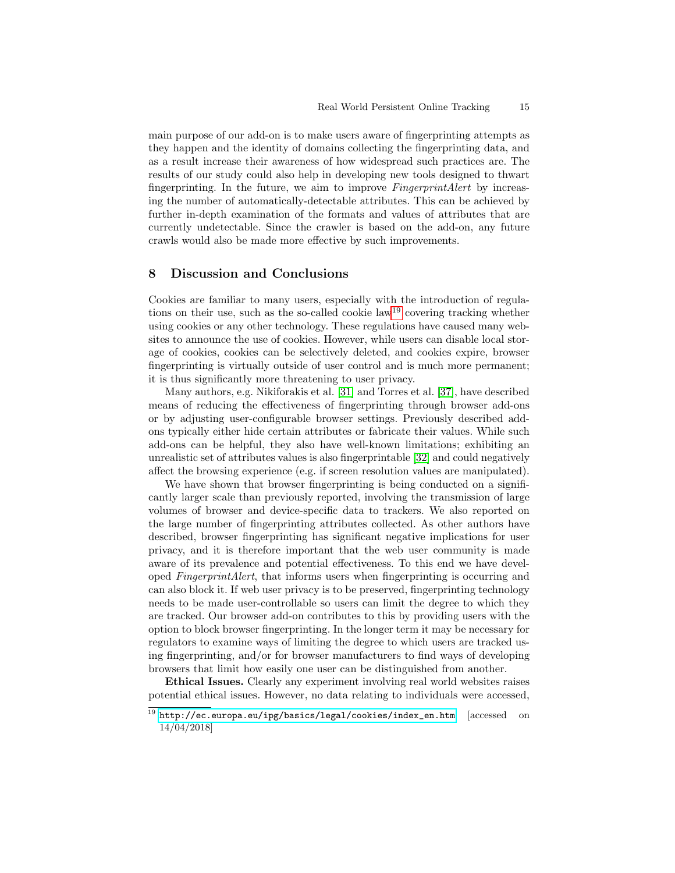main purpose of our add-on is to make users aware of fingerprinting attempts as they happen and the identity of domains collecting the fingerprinting data, and as a result increase their awareness of how widespread such practices are. The results of our study could also help in developing new tools designed to thwart fingerprinting. In the future, we aim to improve FingerprintAlert by increasing the number of automatically-detectable attributes. This can be achieved by further in-depth examination of the formats and values of attributes that are currently undetectable. Since the crawler is based on the add-on, any future crawls would also be made more effective by such improvements.

# <span id="page-14-0"></span>8 Discussion and Conclusions

Cookies are familiar to many users, especially with the introduction of regulations on their use, such as the so-called cookie  $law^{19}$  $law^{19}$  $law^{19}$  covering tracking whether using cookies or any other technology. These regulations have caused many websites to announce the use of cookies. However, while users can disable local storage of cookies, cookies can be selectively deleted, and cookies expire, browser fingerprinting is virtually outside of user control and is much more permanent; it is thus significantly more threatening to user privacy.

Many authors, e.g. Nikiforakis et al. [\[31\]](#page-16-9) and Torres et al. [\[37\]](#page-17-12), have described means of reducing the effectiveness of fingerprinting through browser add-ons or by adjusting user-configurable browser settings. Previously described addons typically either hide certain attributes or fabricate their values. While such add-ons can be helpful, they also have well-known limitations; exhibiting an unrealistic set of attributes values is also fingerprintable [\[32\]](#page-17-0) and could negatively affect the browsing experience (e.g. if screen resolution values are manipulated).

We have shown that browser fingerprinting is being conducted on a significantly larger scale than previously reported, involving the transmission of large volumes of browser and device-specific data to trackers. We also reported on the large number of fingerprinting attributes collected. As other authors have described, browser fingerprinting has significant negative implications for user privacy, and it is therefore important that the web user community is made aware of its prevalence and potential effectiveness. To this end we have developed FingerprintAlert, that informs users when fingerprinting is occurring and can also block it. If web user privacy is to be preserved, fingerprinting technology needs to be made user-controllable so users can limit the degree to which they are tracked. Our browser add-on contributes to this by providing users with the option to block browser fingerprinting. In the longer term it may be necessary for regulators to examine ways of limiting the degree to which users are tracked using fingerprinting, and/or for browser manufacturers to find ways of developing browsers that limit how easily one user can be distinguished from another.

Ethical Issues. Clearly any experiment involving real world websites raises potential ethical issues. However, no data relating to individuals were accessed,

<span id="page-14-1"></span> $^{19}$  [http://ec.europa.eu/ipg/basics/legal/cookies/index\\_en.htm](http://ec.europa.eu/ipg/basics/legal/cookies/index_en.htm) [accessed on 14/04/2018]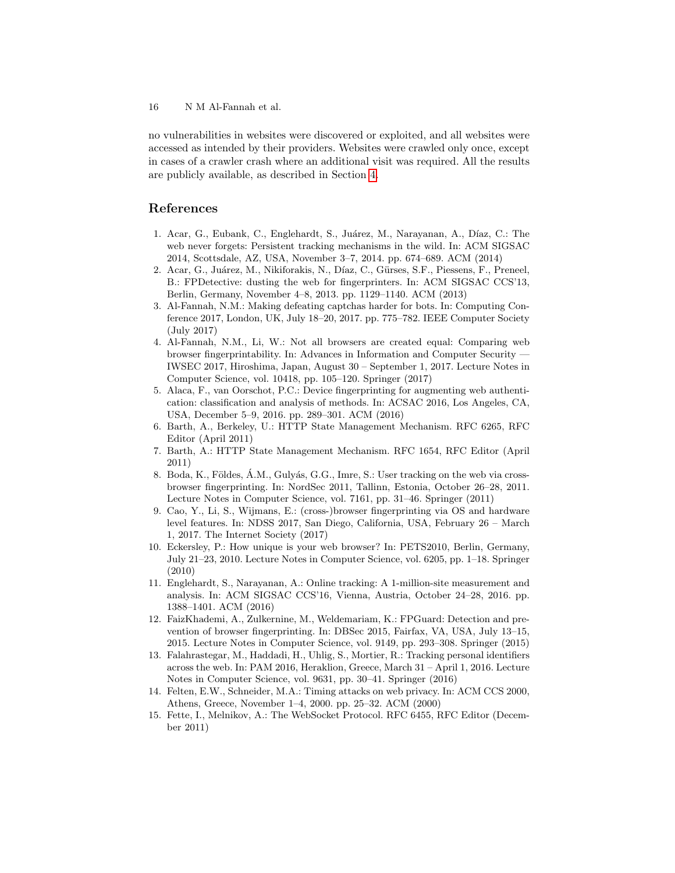no vulnerabilities in websites were discovered or exploited, and all websites were accessed as intended by their providers. Websites were crawled only once, except in cases of a crawler crash where an additional visit was required. All the results are publicly available, as described in Section [4.](#page-7-0)

# References

- <span id="page-15-0"></span>1. Acar, G., Eubank, C., Englehardt, S., Juárez, M., Narayanan, A., Díaz, C.: The web never forgets: Persistent tracking mechanisms in the wild. In: ACM SIGSAC 2014, Scottsdale, AZ, USA, November 3–7, 2014. pp. 674–689. ACM (2014)
- <span id="page-15-5"></span>2. Acar, G., Juárez, M., Nikiforakis, N., Díaz, C., Gürses, S.F., Piessens, F., Preneel, B.: FPDetective: dusting the web for fingerprinters. In: ACM SIGSAC CCS'13, Berlin, Germany, November 4–8, 2013. pp. 1129–1140. ACM (2013)
- <span id="page-15-6"></span>3. Al-Fannah, N.M.: Making defeating captchas harder for bots. In: Computing Conference 2017, London, UK, July 18–20, 2017. pp. 775–782. IEEE Computer Society (July 2017)
- <span id="page-15-4"></span>4. Al-Fannah, N.M., Li, W.: Not all browsers are created equal: Comparing web browser fingerprintability. In: Advances in Information and Computer Security — IWSEC 2017, Hiroshima, Japan, August 30 – September 1, 2017. Lecture Notes in Computer Science, vol. 10418, pp. 105–120. Springer (2017)
- <span id="page-15-10"></span>5. Alaca, F., van Oorschot, P.C.: Device fingerprinting for augmenting web authentication: classification and analysis of methods. In: ACSAC 2016, Los Angeles, CA, USA, December 5–9, 2016. pp. 289–301. ACM (2016)
- <span id="page-15-11"></span>6. Barth, A., Berkeley, U.: HTTP State Management Mechanism. RFC 6265, RFC Editor (April 2011)
- <span id="page-15-3"></span>7. Barth, A.: HTTP State Management Mechanism. RFC 1654, RFC Editor (April 2011)
- <span id="page-15-8"></span>8. Boda, K., Földes, Á.M., Gulyás, G.G., Imre, S.: User tracking on the web via crossbrowser fingerprinting. In: NordSec 2011, Tallinn, Estonia, October 26–28, 2011. Lecture Notes in Computer Science, vol. 7161, pp. 31–46. Springer (2011)
- <span id="page-15-2"></span>9. Cao, Y., Li, S., Wijmans, E.: (cross-)browser fingerprinting via OS and hardware level features. In: NDSS 2017, San Diego, California, USA, February 26 – March 1, 2017. The Internet Society (2017)
- <span id="page-15-1"></span>10. Eckersley, P.: How unique is your web browser? In: PETS2010, Berlin, Germany, July 21–23, 2010. Lecture Notes in Computer Science, vol. 6205, pp. 1–18. Springer (2010)
- <span id="page-15-7"></span>11. Englehardt, S., Narayanan, A.: Online tracking: A 1-million-site measurement and analysis. In: ACM SIGSAC CCS'16, Vienna, Austria, October 24–28, 2016. pp. 1388–1401. ACM (2016)
- <span id="page-15-9"></span>12. FaizKhademi, A., Zulkernine, M., Weldemariam, K.: FPGuard: Detection and prevention of browser fingerprinting. In: DBSec 2015, Fairfax, VA, USA, July 13–15, 2015. Lecture Notes in Computer Science, vol. 9149, pp. 293–308. Springer (2015)
- <span id="page-15-12"></span>13. Falahrastegar, M., Haddadi, H., Uhlig, S., Mortier, R.: Tracking personal identifiers across the web. In: PAM 2016, Heraklion, Greece, March 31 – April 1, 2016. Lecture Notes in Computer Science, vol. 9631, pp. 30–41. Springer (2016)
- <span id="page-15-13"></span>14. Felten, E.W., Schneider, M.A.: Timing attacks on web privacy. In: ACM CCS 2000, Athens, Greece, November 1–4, 2000. pp. 25–32. ACM (2000)
- <span id="page-15-14"></span>15. Fette, I., Melnikov, A.: The WebSocket Protocol. RFC 6455, RFC Editor (December 2011)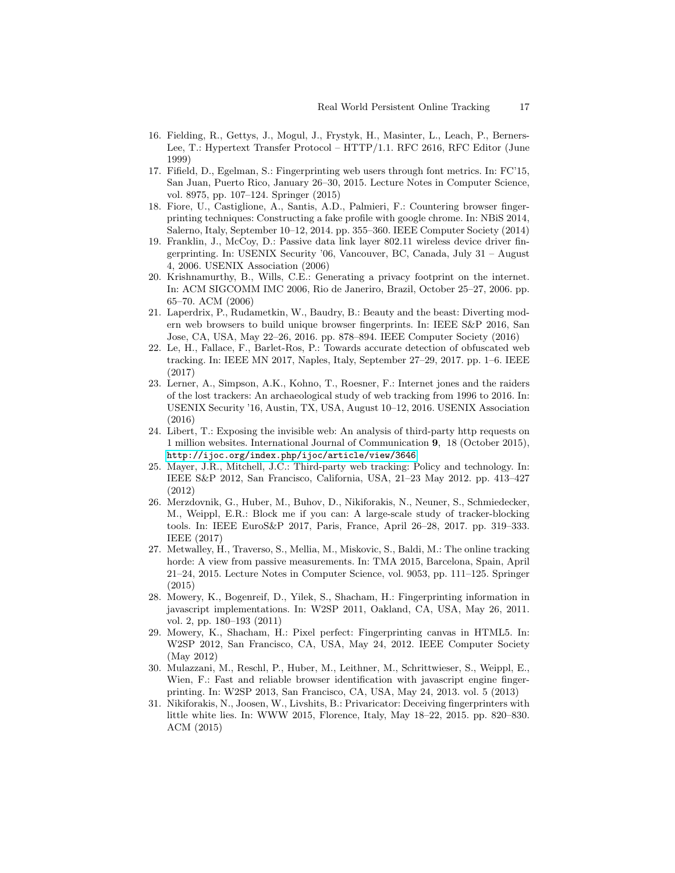- <span id="page-16-13"></span>16. Fielding, R., Gettys, J., Mogul, J., Frystyk, H., Masinter, L., Leach, P., Berners-Lee, T.: Hypertext Transfer Protocol – HTTP/1.1. RFC 2616, RFC Editor (June 1999)
- <span id="page-16-7"></span>17. Fifield, D., Egelman, S.: Fingerprinting web users through font metrics. In: FC'15, San Juan, Puerto Rico, January 26–30, 2015. Lecture Notes in Computer Science, vol. 8975, pp. 107–124. Springer (2015)
- <span id="page-16-10"></span>18. Fiore, U., Castiglione, A., Santis, A.D., Palmieri, F.: Countering browser fingerprinting techniques: Constructing a fake profile with google chrome. In: NBiS 2014, Salerno, Italy, September 10–12, 2014. pp. 355–360. IEEE Computer Society (2014)
- <span id="page-16-3"></span>19. Franklin, J., McCoy, D.: Passive data link layer 802.11 wireless device driver fingerprinting. In: USENIX Security '06, Vancouver, BC, Canada, July 31 – August 4, 2006. USENIX Association (2006)
- <span id="page-16-15"></span>20. Krishnamurthy, B., Wills, C.E.: Generating a privacy footprint on the internet. In: ACM SIGCOMM IMC 2006, Rio de Janeriro, Brazil, October 25–27, 2006. pp. 65–70. ACM (2006)
- <span id="page-16-4"></span>21. Laperdrix, P., Rudametkin, W., Baudry, B.: Beauty and the beast: Diverting modern web browsers to build unique browser fingerprints. In: IEEE S&P 2016, San Jose, CA, USA, May 22–26, 2016. pp. 878–894. IEEE Computer Society (2016)
- <span id="page-16-11"></span>22. Le, H., Fallace, F., Barlet-Ros, P.: Towards accurate detection of obfuscated web tracking. In: IEEE MN 2017, Naples, Italy, September 27–29, 2017. pp. 1–6. IEEE (2017)
- <span id="page-16-1"></span>23. Lerner, A., Simpson, A.K., Kohno, T., Roesner, F.: Internet jones and the raiders of the lost trackers: An archaeological study of web tracking from 1996 to 2016. In: USENIX Security '16, Austin, TX, USA, August 10–12, 2016. USENIX Association (2016)
- <span id="page-16-2"></span>24. Libert, T.: Exposing the invisible web: An analysis of third-party http requests on 1 million websites. International Journal of Communication 9, 18 (October 2015), <http://ijoc.org/index.php/ijoc/article/view/3646>
- <span id="page-16-0"></span>25. Mayer, J.R., Mitchell, J.C.: Third-party web tracking: Policy and technology. In: IEEE S&P 2012, San Francisco, California, USA, 21–23 May 2012. pp. 413–427 (2012)
- <span id="page-16-14"></span>26. Merzdovnik, G., Huber, M., Buhov, D., Nikiforakis, N., Neuner, S., Schmiedecker, M., Weippl, E.R.: Block me if you can: A large-scale study of tracker-blocking tools. In: IEEE EuroS&P 2017, Paris, France, April 26–28, 2017. pp. 319–333. IEEE (2017)
- <span id="page-16-12"></span>27. Metwalley, H., Traverso, S., Mellia, M., Miskovic, S., Baldi, M.: The online tracking horde: A view from passive measurements. In: TMA 2015, Barcelona, Spain, April 21–24, 2015. Lecture Notes in Computer Science, vol. 9053, pp. 111–125. Springer (2015)
- <span id="page-16-5"></span>28. Mowery, K., Bogenreif, D., Yilek, S., Shacham, H.: Fingerprinting information in javascript implementations. In: W2SP 2011, Oakland, CA, USA, May 26, 2011. vol. 2, pp. 180–193 (2011)
- <span id="page-16-6"></span>29. Mowery, K., Shacham, H.: Pixel perfect: Fingerprinting canvas in HTML5. In: W2SP 2012, San Francisco, CA, USA, May 24, 2012. IEEE Computer Society (May 2012)
- <span id="page-16-8"></span>30. Mulazzani, M., Reschl, P., Huber, M., Leithner, M., Schrittwieser, S., Weippl, E., Wien, F.: Fast and reliable browser identification with javascript engine fingerprinting. In: W2SP 2013, San Francisco, CA, USA, May 24, 2013. vol. 5 (2013)
- <span id="page-16-9"></span>31. Nikiforakis, N., Joosen, W., Livshits, B.: Privaricator: Deceiving fingerprinters with little white lies. In: WWW 2015, Florence, Italy, May 18–22, 2015. pp. 820–830. ACM (2015)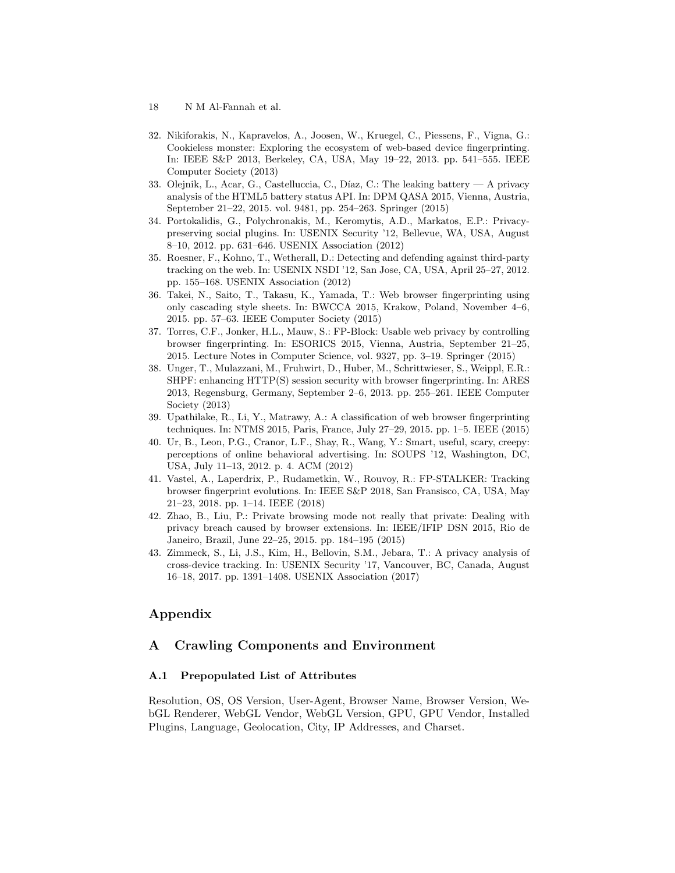- 18 N M Al-Fannah et al.
- <span id="page-17-0"></span>32. Nikiforakis, N., Kapravelos, A., Joosen, W., Kruegel, C., Piessens, F., Vigna, G.: Cookieless monster: Exploring the ecosystem of web-based device fingerprinting. In: IEEE S&P 2013, Berkeley, CA, USA, May 19–22, 2013. pp. 541–555. IEEE Computer Society (2013)
- <span id="page-17-8"></span>33. Olejnik, L., Acar, G., Castelluccia, C., Díaz, C.: The leaking battery  $-$  A privacy analysis of the HTML5 battery status API. In: DPM QASA 2015, Vienna, Austria, September 21–22, 2015. vol. 9481, pp. 254–263. Springer (2015)
- <span id="page-17-3"></span>34. Portokalidis, G., Polychronakis, M., Keromytis, A.D., Markatos, E.P.: Privacypreserving social plugins. In: USENIX Security '12, Bellevue, WA, USA, August 8–10, 2012. pp. 631–646. USENIX Association (2012)
- <span id="page-17-6"></span>35. Roesner, F., Kohno, T., Wetherall, D.: Detecting and defending against third-party tracking on the web. In: USENIX NSDI '12, San Jose, CA, USA, April 25–27, 2012. pp. 155–168. USENIX Association (2012)
- <span id="page-17-9"></span>36. Takei, N., Saito, T., Takasu, K., Yamada, T.: Web browser fingerprinting using only cascading style sheets. In: BWCCA 2015, Krakow, Poland, November 4–6, 2015. pp. 57–63. IEEE Computer Society (2015)
- <span id="page-17-12"></span>37. Torres, C.F., Jonker, H.L., Mauw, S.: FP-Block: Usable web privacy by controlling browser fingerprinting. In: ESORICS 2015, Vienna, Austria, September 21–25, 2015. Lecture Notes in Computer Science, vol. 9327, pp. 3–19. Springer (2015)
- <span id="page-17-4"></span>38. Unger, T., Mulazzani, M., Fruhwirt, D., Huber, M., Schrittwieser, S., Weippl, E.R.: SHPF: enhancing HTTP(S) session security with browser fingerprinting. In: ARES 2013, Regensburg, Germany, September 2–6, 2013. pp. 255–261. IEEE Computer Society (2013)
- <span id="page-17-10"></span>39. Upathilake, R., Li, Y., Matrawy, A.: A classification of web browser fingerprinting techniques. In: NTMS 2015, Paris, France, July 27–29, 2015. pp. 1–5. IEEE (2015)
- <span id="page-17-1"></span>40. Ur, B., Leon, P.G., Cranor, L.F., Shay, R., Wang, Y.: Smart, useful, scary, creepy: perceptions of online behavioral advertising. In: SOUPS '12, Washington, DC, USA, July 11–13, 2012. p. 4. ACM (2012)
- <span id="page-17-2"></span>41. Vastel, A., Laperdrix, P., Rudametkin, W., Rouvoy, R.: FP-STALKER: Tracking browser fingerprint evolutions. In: IEEE S&P 2018, San Fransisco, CA, USA, May 21–23, 2018. pp. 1–14. IEEE (2018)
- <span id="page-17-7"></span>42. Zhao, B., Liu, P.: Private browsing mode not really that private: Dealing with privacy breach caused by browser extensions. In: IEEE/IFIP DSN 2015, Rio de Janeiro, Brazil, June 22–25, 2015. pp. 184–195 (2015)
- <span id="page-17-5"></span>43. Zimmeck, S., Li, J.S., Kim, H., Bellovin, S.M., Jebara, T.: A privacy analysis of cross-device tracking. In: USENIX Security '17, Vancouver, BC, Canada, August 16–18, 2017. pp. 1391–1408. USENIX Association (2017)

# Appendix

# A Crawling Components and Environment

# <span id="page-17-11"></span>A.1 Prepopulated List of Attributes

Resolution, OS, OS Version, User-Agent, Browser Name, Browser Version, WebGL Renderer, WebGL Vendor, WebGL Version, GPU, GPU Vendor, Installed Plugins, Language, Geolocation, City, IP Addresses, and Charset.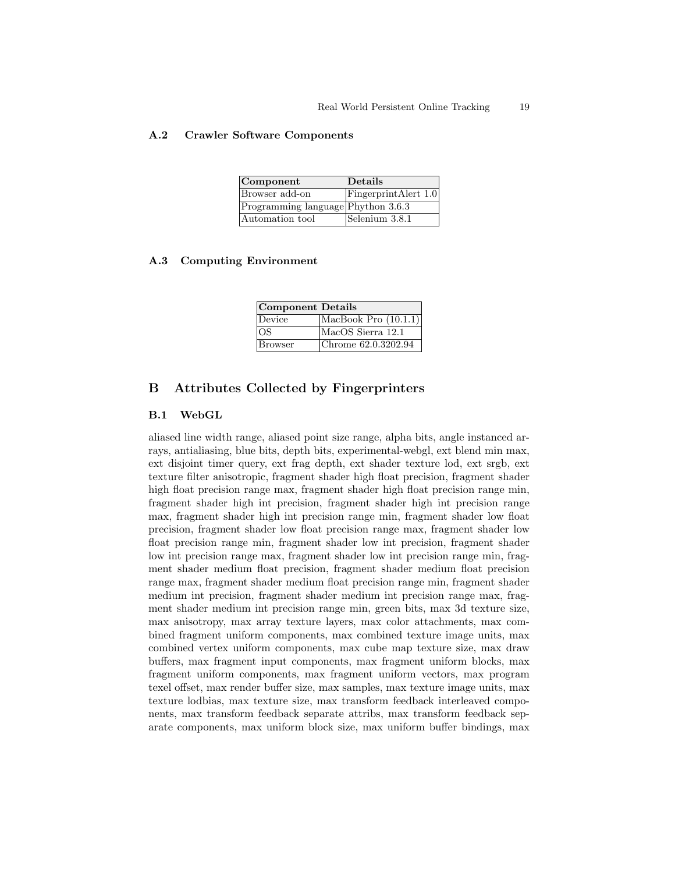## <span id="page-18-0"></span>A.2 Crawler Software Components

| Component                          | Details              |
|------------------------------------|----------------------|
| Browser add-on                     | FingerprintAlert 1.0 |
| Programming language Phython 3.6.3 |                      |
| Automation tool                    | Selenium 3.8.1       |

#### <span id="page-18-1"></span>A.3 Computing Environment

| Component Details |                                  |
|-------------------|----------------------------------|
| Device            | $ \text{MacBook Pro } (10.1.1) $ |
| $\log$            | MacOS Sierra 12.1                |
| Browser           | Chrome 62.0.3202.94              |

# <span id="page-18-2"></span>B Attributes Collected by Fingerprinters

### B.1 WebGL

aliased line width range, aliased point size range, alpha bits, angle instanced arrays, antialiasing, blue bits, depth bits, experimental-webgl, ext blend min max, ext disjoint timer query, ext frag depth, ext shader texture lod, ext srgb, ext texture filter anisotropic, fragment shader high float precision, fragment shader high float precision range max, fragment shader high float precision range min, fragment shader high int precision, fragment shader high int precision range max, fragment shader high int precision range min, fragment shader low float precision, fragment shader low float precision range max, fragment shader low float precision range min, fragment shader low int precision, fragment shader low int precision range max, fragment shader low int precision range min, fragment shader medium float precision, fragment shader medium float precision range max, fragment shader medium float precision range min, fragment shader medium int precision, fragment shader medium int precision range max, fragment shader medium int precision range min, green bits, max 3d texture size, max anisotropy, max array texture layers, max color attachments, max combined fragment uniform components, max combined texture image units, max combined vertex uniform components, max cube map texture size, max draw buffers, max fragment input components, max fragment uniform blocks, max fragment uniform components, max fragment uniform vectors, max program texel offset, max render buffer size, max samples, max texture image units, max texture lodbias, max texture size, max transform feedback interleaved components, max transform feedback separate attribs, max transform feedback separate components, max uniform block size, max uniform buffer bindings, max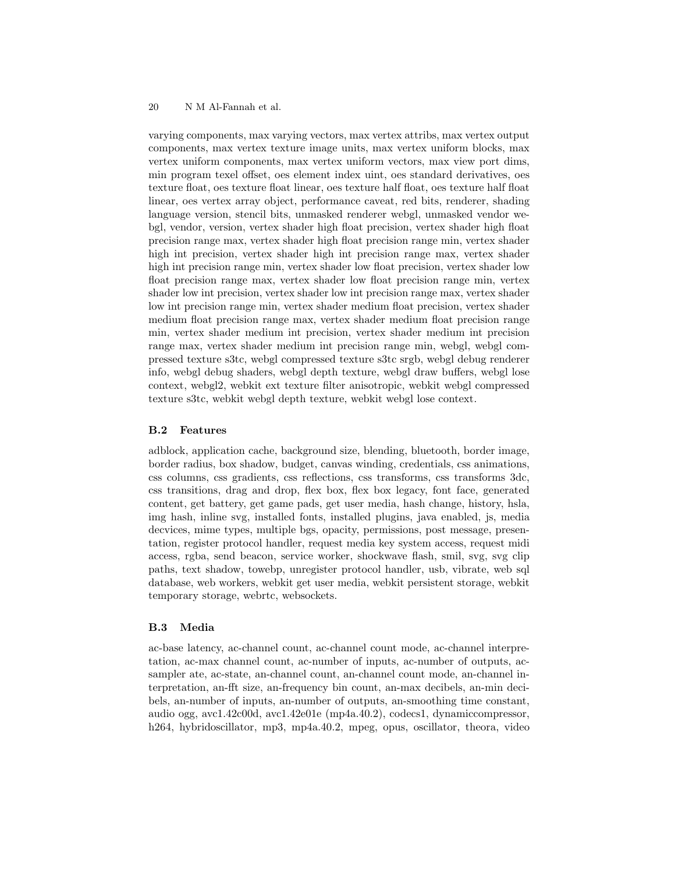varying components, max varying vectors, max vertex attribs, max vertex output components, max vertex texture image units, max vertex uniform blocks, max vertex uniform components, max vertex uniform vectors, max view port dims, min program texel offset, oes element index uint, oes standard derivatives, oes texture float, oes texture float linear, oes texture half float, oes texture half float linear, oes vertex array object, performance caveat, red bits, renderer, shading language version, stencil bits, unmasked renderer webgl, unmasked vendor webgl, vendor, version, vertex shader high float precision, vertex shader high float precision range max, vertex shader high float precision range min, vertex shader high int precision, vertex shader high int precision range max, vertex shader high int precision range min, vertex shader low float precision, vertex shader low float precision range max, vertex shader low float precision range min, vertex shader low int precision, vertex shader low int precision range max, vertex shader low int precision range min, vertex shader medium float precision, vertex shader medium float precision range max, vertex shader medium float precision range min, vertex shader medium int precision, vertex shader medium int precision range max, vertex shader medium int precision range min, webgl, webgl compressed texture s3tc, webgl compressed texture s3tc srgb, webgl debug renderer info, webgl debug shaders, webgl depth texture, webgl draw buffers, webgl lose context, webgl2, webkit ext texture filter anisotropic, webkit webgl compressed texture s3tc, webkit webgl depth texture, webkit webgl lose context.

### B.2 Features

adblock, application cache, background size, blending, bluetooth, border image, border radius, box shadow, budget, canvas winding, credentials, css animations, css columns, css gradients, css reflections, css transforms, css transforms 3dc, css transitions, drag and drop, flex box, flex box legacy, font face, generated content, get battery, get game pads, get user media, hash change, history, hsla, img hash, inline svg, installed fonts, installed plugins, java enabled, js, media decvices, mime types, multiple bgs, opacity, permissions, post message, presentation, register protocol handler, request media key system access, request midi access, rgba, send beacon, service worker, shockwave flash, smil, svg, svg clip paths, text shadow, towebp, unregister protocol handler, usb, vibrate, web sql database, web workers, webkit get user media, webkit persistent storage, webkit temporary storage, webrtc, websockets.

### B.3 Media

ac-base latency, ac-channel count, ac-channel count mode, ac-channel interpretation, ac-max channel count, ac-number of inputs, ac-number of outputs, acsampler ate, ac-state, an-channel count, an-channel count mode, an-channel interpretation, an-fft size, an-frequency bin count, an-max decibels, an-min decibels, an-number of inputs, an-number of outputs, an-smoothing time constant, audio ogg, avc1.42c00d, avc1.42e01e (mp4a.40.2), codecs1, dynamiccompressor, h264, hybridoscillator, mp3, mp4a.40.2, mpeg, opus, oscillator, theora, video